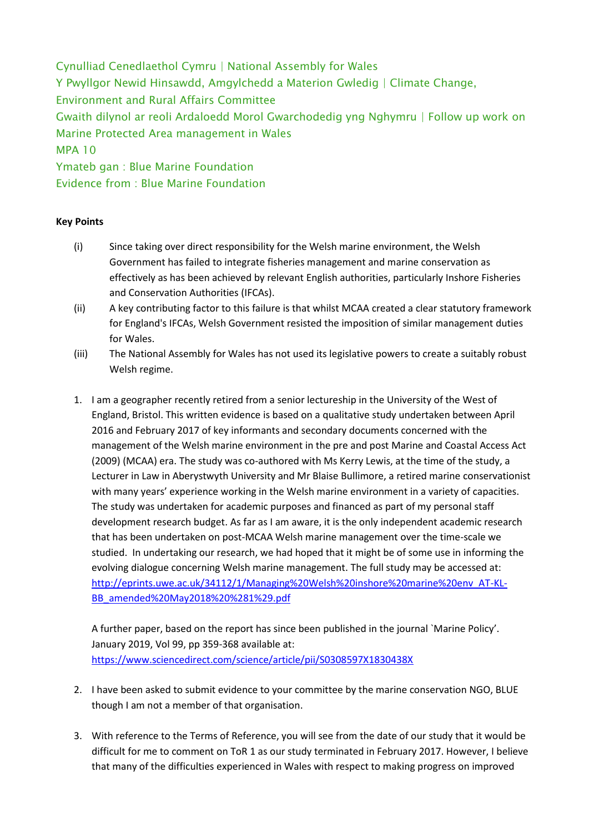Cynulliad Cenedlaethol Cymru | National Assembly for Wales Y Pwyllgor Newid Hinsawdd, Amgylchedd a Materion Gwledig | Climate Change, Environment and Rural Affairs Committee Gwaith dilynol ar reoli Ardaloedd Morol Gwarchodedig yng Nghymru | Follow up work on Marine Protected Area management in Wales MPA 10 Ymateb gan : Blue Marine Foundation

Evidence from : Blue Marine Foundation

## **Key Points**

- (i) Since taking over direct responsibility for the Welsh marine environment, the Welsh Government has failed to integrate fisheries management and marine conservation as effectively as has been achieved by relevant English authorities, particularly Inshore Fisheries and Conservation Authorities (IFCAs).
- (ii) A key contributing factor to this failure is that whilst MCAA created a clear statutory framework for England's IFCAs, Welsh Government resisted the imposition of similar management duties for Wales.
- (iii) The National Assembly for Wales has not used its legislative powers to create a suitably robust Welsh regime.
- 1. I am a geographer recently retired from a senior lectureship in the University of the West of England, Bristol. This written evidence is based on a qualitative study undertaken between April 2016 and February 2017 of key informants and secondary documents concerned with the management of the Welsh marine environment in the pre and post Marine and Coastal Access Act (2009) (MCAA) era. The study was co-authored with Ms Kerry Lewis, at the time of the study, a Lecturer in Law in Aberystwyth University and Mr Blaise Bullimore, a retired marine conservationist with many years' experience working in the Welsh marine environment in a variety of capacities. The study was undertaken for academic purposes and financed as part of my personal staff development research budget. As far as I am aware, it is the only independent academic research that has been undertaken on post-MCAA Welsh marine management over the time-scale we studied. In undertaking our research, we had hoped that it might be of some use in informing the evolving dialogue concerning Welsh marine management. The full study may be accessed at: [http://eprints.uwe.ac.uk/34112/1/Managing%20Welsh%20inshore%20marine%20env\\_AT-KL-](http://eprints.uwe.ac.uk/34112/1/Managing%20Welsh%20inshore%20marine%20env_AT-KL-BB_amended%20May2018%20%281%29.pdf)[BB\\_amended%20May2018%20%281%29.pdf](http://eprints.uwe.ac.uk/34112/1/Managing%20Welsh%20inshore%20marine%20env_AT-KL-BB_amended%20May2018%20%281%29.pdf)

A further paper, based on the report has since been published in the journal `Marine Policy'. January 2019, Vol 99, pp 359-368 available at: <https://www.sciencedirect.com/science/article/pii/S0308597X1830438X>

- 2. I have been asked to submit evidence to your committee by the marine conservation NGO, BLUE though I am not a member of that organisation.
- 3. With reference to the Terms of Reference, you will see from the date of our study that it would be difficult for me to comment on ToR 1 as our study terminated in February 2017. However, I believe that many of the difficulties experienced in Wales with respect to making progress on improved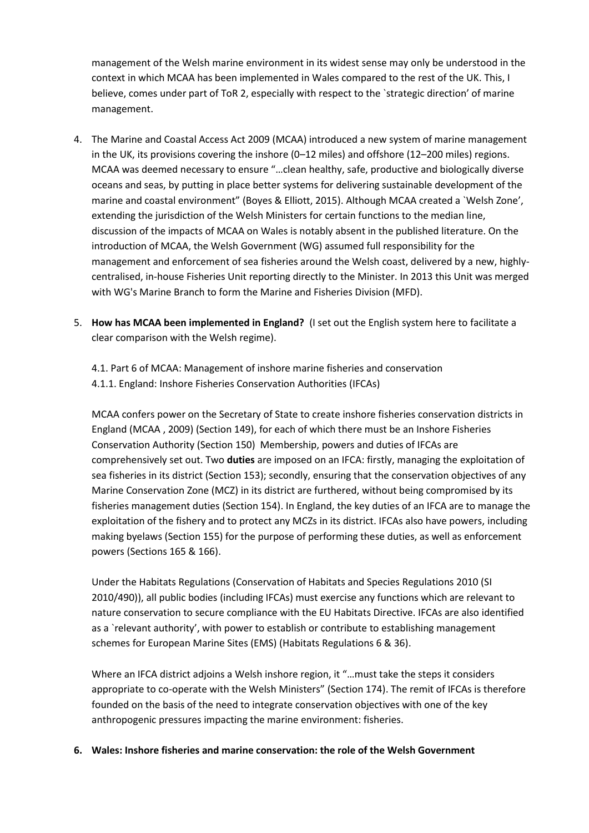management of the Welsh marine environment in its widest sense may only be understood in the context in which MCAA has been implemented in Wales compared to the rest of the UK. This, I believe, comes under part of ToR 2, especially with respect to the `strategic direction' of marine management.

- 4. The Marine and Coastal Access Act 2009 (MCAA) introduced a new system of marine management in the UK, its provisions covering the inshore (0–12 miles) and offshore (12–200 miles) regions. MCAA was deemed necessary to ensure "…clean healthy, safe, productive and biologically diverse oceans and seas, by putting in place better systems for delivering sustainable development of the marine and coastal environment" (Boyes & Elliott, 2015). Although MCAA created a `Welsh Zone', extending the jurisdiction of the Welsh Ministers for certain functions to the median line, discussion of the impacts of MCAA on Wales is notably absent in the published literature. On the introduction of MCAA, the Welsh Government (WG) assumed full responsibility for the management and enforcement of sea fisheries around the Welsh coast, delivered by a new, highlycentralised, in-house Fisheries Unit reporting directly to the Minister. In 2013 this Unit was merged with WG's Marine Branch to form the Marine and Fisheries Division (MFD).
- 5. **How has MCAA been implemented in England?** (I set out the English system here to facilitate a clear comparison with the Welsh regime).
	- 4.1. Part 6 of MCAA: Management of inshore marine fisheries and conservation
	- 4.1.1. England: Inshore Fisheries Conservation Authorities (IFCAs)

MCAA confers power on the Secretary of State to create inshore fisheries conservation districts in England (MCAA , 2009) (Section 149), for each of which there must be an Inshore Fisheries Conservation Authority (Section 150) Membership, powers and duties of IFCAs are comprehensively set out. Two **duties** are imposed on an IFCA: firstly, managing the exploitation of sea fisheries in its district (Section 153); secondly, ensuring that the conservation objectives of any Marine Conservation Zone (MCZ) in its district are furthered, without being compromised by its fisheries management duties (Section 154). In England, the key duties of an IFCA are to manage the exploitation of the fishery and to protect any MCZs in its district. IFCAs also have powers, including making byelaws (Section 155) for the purpose of performing these duties, as well as enforcement powers (Sections 165 & 166).

Under the Habitats Regulations (Conservation of Habitats and Species Regulations 2010 (SI 2010/490)), all public bodies (including IFCAs) must exercise any functions which are relevant to nature conservation to secure compliance with the EU Habitats Directive. IFCAs are also identified as a `relevant authority', with power to establish or contribute to establishing management schemes for European Marine Sites (EMS) (Habitats Regulations 6 & 36).

Where an IFCA district adjoins a Welsh inshore region, it "…must take the steps it considers appropriate to co-operate with the Welsh Ministers" (Section 174). The remit of IFCAs is therefore founded on the basis of the need to integrate conservation objectives with one of the key anthropogenic pressures impacting the marine environment: fisheries.

## **6. Wales: Inshore fisheries and marine conservation: the role of the Welsh Government**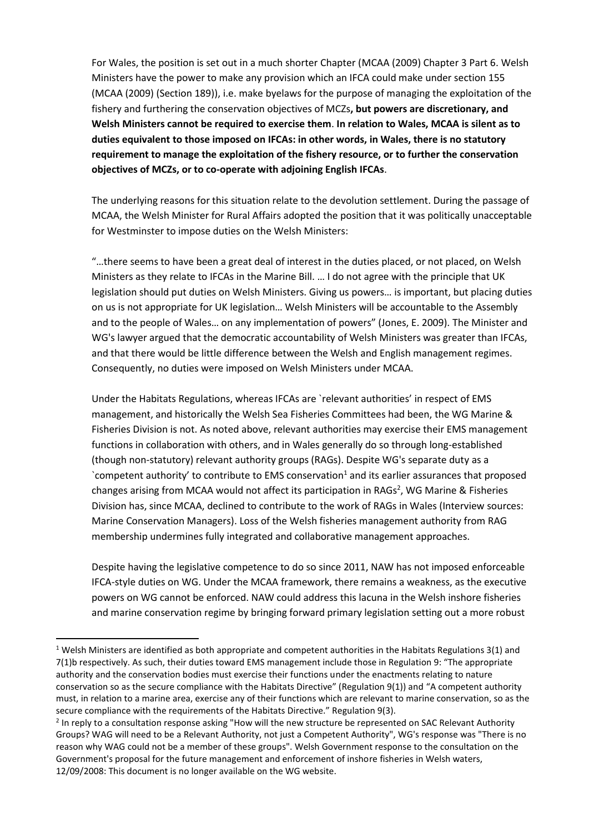For Wales, the position is set out in a much shorter Chapter (MCAA (2009) Chapter 3 Part 6. Welsh Ministers have the power to make any provision which an IFCA could make under section 155 (MCAA (2009) (Section 189)), i.e. make byelaws for the purpose of managing the exploitation of the fishery and furthering the conservation objectives of MCZs**, but powers are discretionary, and Welsh Ministers cannot be required to exercise them**. **In relation to Wales, MCAA is silent as to duties equivalent to those imposed on IFCAs: in other words, in Wales, there is no statutory requirement to manage the exploitation of the fishery resource, or to further the conservation objectives of MCZs, or to co-operate with adjoining English IFCAs**.

The underlying reasons for this situation relate to the devolution settlement. During the passage of MCAA, the Welsh Minister for Rural Affairs adopted the position that it was politically unacceptable for Westminster to impose duties on the Welsh Ministers:

"…there seems to have been a great deal of interest in the duties placed, or not placed, on Welsh Ministers as they relate to IFCAs in the Marine Bill. … I do not agree with the principle that UK legislation should put duties on Welsh Ministers. Giving us powers… is important, but placing duties on us is not appropriate for UK legislation… Welsh Ministers will be accountable to the Assembly and to the people of Wales… on any implementation of powers" (Jones, E. 2009). The Minister and WG's lawyer argued that the democratic accountability of Welsh Ministers was greater than IFCAs, and that there would be little difference between the Welsh and English management regimes. Consequently, no duties were imposed on Welsh Ministers under MCAA.

Under the Habitats Regulations, whereas IFCAs are `relevant authorities' in respect of EMS management, and historically the Welsh Sea Fisheries Committees had been, the WG Marine & Fisheries Division is not. As noted above, relevant authorities may exercise their EMS management functions in collaboration with others, and in Wales generally do so through long-established (though non-statutory) relevant authority groups (RAGs). Despite WG's separate duty as a `competent authority' to contribute to EMS conservation<sup>1</sup> and its earlier assurances that proposed changes arising from MCAA would not affect its participation in RAGs<sup>2</sup>, WG Marine & Fisheries Division has, since MCAA, declined to contribute to the work of RAGs in Wales (Interview sources: Marine Conservation Managers). Loss of the Welsh fisheries management authority from RAG membership undermines fully integrated and collaborative management approaches.

Despite having the legislative competence to do so since 2011, NAW has not imposed enforceable IFCA-style duties on WG. Under the MCAA framework, there remains a weakness, as the executive powers on WG cannot be enforced. NAW could address this lacuna in the Welsh inshore fisheries and marine conservation regime by bringing forward primary legislation setting out a more robust

**.** 

<sup>1</sup> Welsh Ministers are identified as both appropriate and competent authorities in the Habitats Regulations 3(1) and 7(1)b respectively. As such, their duties toward EMS management include those in Regulation 9: "The appropriate authority and the conservation bodies must exercise their functions under the enactments relating to nature conservation so as the secure compliance with the Habitats Directive" (Regulation 9(1)) and "A competent authority must, in relation to a marine area, exercise any of their functions which are relevant to marine conservation, so as the secure compliance with the requirements of the Habitats Directive." Regulation 9(3).

<sup>&</sup>lt;sup>2</sup> In reply to a consultation response asking "How will the new structure be represented on SAC Relevant Authority Groups? WAG will need to be a Relevant Authority, not just a Competent Authority", WG's response was "There is no reason why WAG could not be a member of these groups". Welsh Government response to the consultation on the Government's proposal for the future management and enforcement of inshore fisheries in Welsh waters, 12/09/2008: This document is no longer available on the WG website.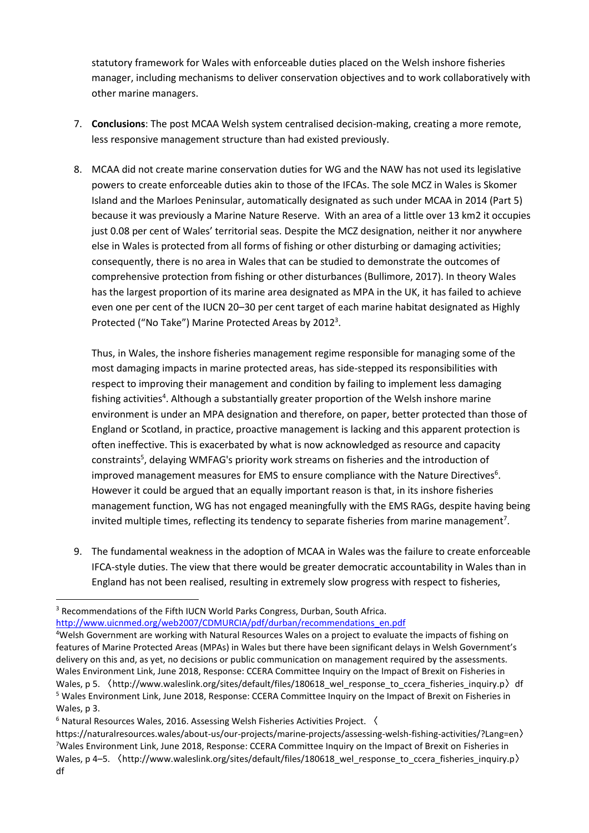statutory framework for Wales with enforceable duties placed on the Welsh inshore fisheries manager, including mechanisms to deliver conservation objectives and to work collaboratively with other marine managers.

- 7. **Conclusions**: The post MCAA Welsh system centralised decision-making, creating a more remote, less responsive management structure than had existed previously.
- 8. MCAA did not create marine conservation duties for WG and the NAW has not used its legislative powers to create enforceable duties akin to those of the IFCAs. The sole MCZ in Wales is Skomer Island and the Marloes Peninsular, automatically designated as such under MCAA in 2014 (Part 5) because it was previously a Marine Nature Reserve. With an area of a little over 13 km2 it occupies just 0.08 per cent of Wales' territorial seas. Despite the MCZ designation, neither it nor anywhere else in Wales is protected from all forms of fishing or other disturbing or damaging activities; consequently, there is no area in Wales that can be studied to demonstrate the outcomes of comprehensive protection from fishing or other disturbances (Bullimore, 2017). In theory Wales has the largest proportion of its marine area designated as MPA in the UK, it has failed to achieve even one per cent of the IUCN 20–30 per cent target of each marine habitat designated as Highly Protected ("No Take") Marine Protected Areas by 2012<sup>3</sup>.

Thus, in Wales, the inshore fisheries management regime responsible for managing some of the most damaging impacts in marine protected areas, has side-stepped its responsibilities with respect to improving their management and condition by failing to implement less damaging fishing activities<sup>4</sup>. Although a substantially greater proportion of the Welsh inshore marine environment is under an MPA designation and therefore, on paper, better protected than those of England or Scotland, in practice, proactive management is lacking and this apparent protection is often ineffective. This is exacerbated by what is now acknowledged as resource and capacity constraints<sup>5</sup>, delaying WMFAG's priority work streams on fisheries and the introduction of improved management measures for EMS to ensure compliance with the Nature Directives<sup>6</sup>. However it could be argued that an equally important reason is that, in its inshore fisheries management function, WG has not engaged meaningfully with the EMS RAGs, despite having being invited multiple times, reflecting its tendency to separate fisheries from marine management<sup>7</sup>.

9. The fundamental weakness in the adoption of MCAA in Wales was the failure to create enforceable IFCA-style duties. The view that there would be greater democratic accountability in Wales than in England has not been realised, resulting in extremely slow progress with respect to fisheries,

1

[http://www.uicnmed.org/web2007/CDMURCIA/pdf/durban/recommendations\\_en.pdf](http://www.uicnmed.org/web2007/CDMURCIA/pdf/durban/recommendations_en.pdf)

<sup>&</sup>lt;sup>3</sup> Recommendations of the Fifth IUCN World Parks Congress, Durban, South Africa.

<sup>4</sup>Welsh Government are working with Natural Resources Wales on a project to evaluate the impacts of fishing on features of Marine Protected Areas (MPAs) in Wales but there have been significant delays in Welsh Government's delivery on this and, as yet, no decisions or public communication on management required by the assessments. Wales Environment Link, June 2018, Response: CCERA Committee Inquiry on the Impact of Brexit on Fisheries in Wales, p 5. 〈http://www.waleslink.org/sites/default/files/180618\_wel\_response\_to\_ccera\_fisheries\_inquiry.p〉df <sup>5</sup> Wales Environment Link, June 2018, Response: CCERA Committee Inquiry on the Impact of Brexit on Fisheries in Wales, p 3.

<sup>6</sup> Natural Resources Wales, 2016. Assessing Welsh Fisheries Activities Project. 〈

https://naturalresources.wales/about-us/our-projects/marine-projects/assessing-welsh-fishing-activities/?Lang=en〉 <sup>7</sup>Wales Environment Link, June 2018, Response: CCERA Committee Inquiry on the Impact of Brexit on Fisheries in Wales, p 4–5.  $\langle$ http://www.waleslink.org/sites/default/files/180618 wel response to ccera fisheries inquiry.p〉 df